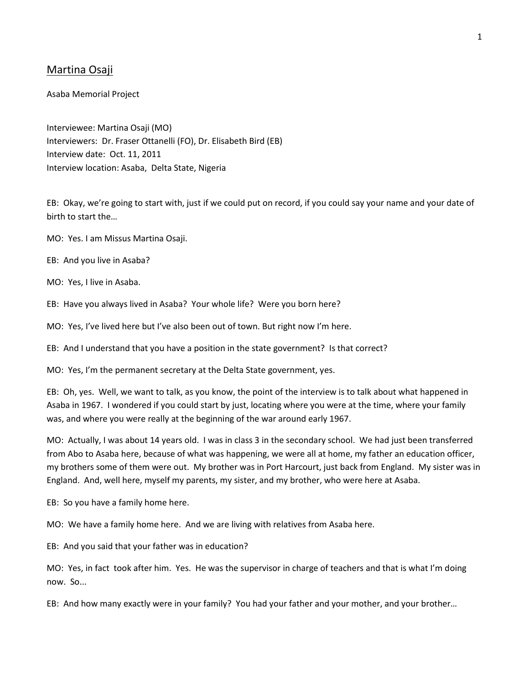# Martina Osaji

Asaba Memorial Project

Interviewee: Martina Osaji (MO) Interviewers: Dr. Fraser Ottanelli (FO), Dr. Elisabeth Bird (EB) Interview date: Oct. 11, 2011 Interview location: Asaba, Delta State, Nigeria

EB: Okay, we're going to start with, just if we could put on record, if you could say your name and your date of birth to start the…

MO: Yes. I am Missus Martina Osaji.

EB: And you live in Asaba?

MO: Yes, I live in Asaba.

EB: Have you always lived in Asaba? Your whole life? Were you born here?

MO: Yes, I've lived here but I've also been out of town. But right now I'm here.

EB: And I understand that you have a position in the state government? Is that correct?

MO: Yes, I'm the permanent secretary at the Delta State government, yes.

EB: Oh, yes. Well, we want to talk, as you know, the point of the interview is to talk about what happened in Asaba in 1967. I wondered if you could start by just, locating where you were at the time, where your family was, and where you were really at the beginning of the war around early 1967.

MO: Actually, I was about 14 years old. I was in class 3 in the secondary school. We had just been transferred from Abo to Asaba here, because of what was happening, we were all at home, my father an education officer, my brothers some of them were out. My brother was in Port Harcourt, just back from England. My sister was in England. And, well here, myself my parents, my sister, and my brother, who were here at Asaba.

EB: So you have a family home here.

MO: We have a family home here. And we are living with relatives from Asaba here.

EB: And you said that your father was in education?

MO: Yes, in fact took after him. Yes. He was the supervisor in charge of teachers and that is what I'm doing now. So...

EB: And how many exactly were in your family? You had your father and your mother, and your brother…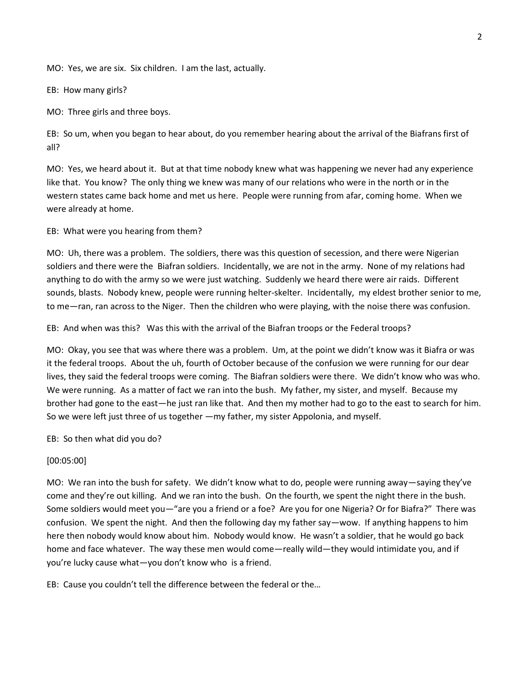MO: Yes, we are six. Six children. I am the last, actually.

EB: How many girls?

MO: Three girls and three boys.

EB: So um, when you began to hear about, do you remember hearing about the arrival of the Biafrans first of all?

MO: Yes, we heard about it. But at that time nobody knew what was happening we never had any experience like that. You know? The only thing we knew was many of our relations who were in the north or in the western states came back home and met us here. People were running from afar, coming home. When we were already at home.

EB: What were you hearing from them?

MO: Uh, there was a problem. The soldiers, there was this question of secession, and there were Nigerian soldiers and there were the Biafran soldiers. Incidentally, we are not in the army. None of my relations had anything to do with the army so we were just watching. Suddenly we heard there were air raids. Different sounds, blasts. Nobody knew, people were running helter-skelter. Incidentally, my eldest brother senior to me, to me—ran, ran across to the Niger. Then the children who were playing, with the noise there was confusion.

EB: And when was this? Was this with the arrival of the Biafran troops or the Federal troops?

MO: Okay, you see that was where there was a problem. Um, at the point we didn't know was it Biafra or was it the federal troops. About the uh, fourth of October because of the confusion we were running for our dear lives, they said the federal troops were coming. The Biafran soldiers were there. We didn't know who was who. We were running. As a matter of fact we ran into the bush. My father, my sister, and myself. Because my brother had gone to the east—he just ran like that. And then my mother had to go to the east to search for him. So we were left just three of us together —my father, my sister Appolonia, and myself.

EB: So then what did you do?

[00:05:00]

MO: We ran into the bush for safety. We didn't know what to do, people were running away—saying they've come and they're out killing. And we ran into the bush. On the fourth, we spent the night there in the bush. Some soldiers would meet you—"are you a friend or a foe? Are you for one Nigeria? Or for Biafra?" There was confusion. We spent the night. And then the following day my father say—wow. If anything happens to him here then nobody would know about him. Nobody would know. He wasn't a soldier, that he would go back home and face whatever. The way these men would come—really wild—they would intimidate you, and if you're lucky cause what—you don't know who is a friend.

EB: Cause you couldn't tell the difference between the federal or the…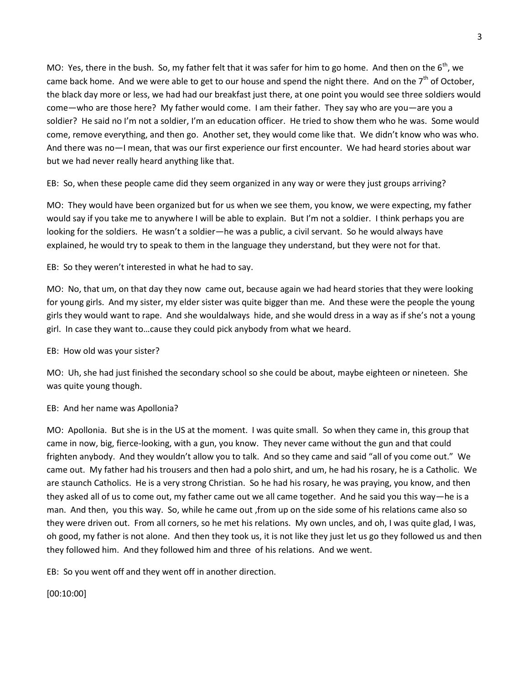MO: Yes, there in the bush. So, my father felt that it was safer for him to go home. And then on the  $6<sup>th</sup>$ , we came back home. And we were able to get to our house and spend the night there. And on the  $7<sup>th</sup>$  of October, the black day more or less, we had had our breakfast just there, at one point you would see three soldiers would come—who are those here? My father would come. I am their father. They say who are you—are you a soldier? He said no I'm not a soldier, I'm an education officer. He tried to show them who he was. Some would come, remove everything, and then go. Another set, they would come like that. We didn't know who was who. And there was no—I mean, that was our first experience our first encounter. We had heard stories about war but we had never really heard anything like that.

EB: So, when these people came did they seem organized in any way or were they just groups arriving?

MO: They would have been organized but for us when we see them, you know, we were expecting, my father would say if you take me to anywhere I will be able to explain. But I'm not a soldier. I think perhaps you are looking for the soldiers. He wasn't a soldier—he was a public, a civil servant. So he would always have explained, he would try to speak to them in the language they understand, but they were not for that.

EB: So they weren't interested in what he had to say.

MO: No, that um, on that day they now came out, because again we had heard stories that they were looking for young girls. And my sister, my elder sister was quite bigger than me. And these were the people the young girls they would want to rape. And she wouldalways hide, and she would dress in a way as if she's not a young girl. In case they want to…cause they could pick anybody from what we heard.

# EB: How old was your sister?

MO: Uh, she had just finished the secondary school so she could be about, maybe eighteen or nineteen. She was quite young though.

# EB: And her name was Apollonia?

MO: Apollonia. But she is in the US at the moment. I was quite small. So when they came in, this group that came in now, big, fierce-looking, with a gun, you know. They never came without the gun and that could frighten anybody. And they wouldn't allow you to talk. And so they came and said "all of you come out." We came out. My father had his trousers and then had a polo shirt, and um, he had his rosary, he is a Catholic. We are staunch Catholics. He is a very strong Christian. So he had his rosary, he was praying, you know, and then they asked all of us to come out, my father came out we all came together. And he said you this way—he is a man. And then, you this way. So, while he came out ,from up on the side some of his relations came also so they were driven out. From all corners, so he met his relations. My own uncles, and oh, I was quite glad, I was, oh good, my father is not alone. And then they took us, it is not like they just let us go they followed us and then they followed him. And they followed him and three of his relations. And we went.

EB: So you went off and they went off in another direction.

[00:10:00]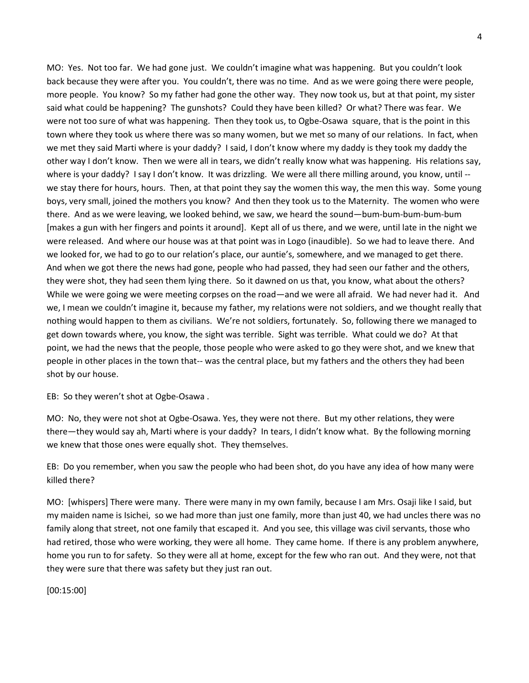MO: Yes. Not too far. We had gone just. We couldn't imagine what was happening. But you couldn't look back because they were after you. You couldn't, there was no time. And as we were going there were people, more people. You know? So my father had gone the other way. They now took us, but at that point, my sister said what could be happening? The gunshots? Could they have been killed? Or what? There was fear. We were not too sure of what was happening. Then they took us, to Ogbe-Osawa square, that is the point in this town where they took us where there was so many women, but we met so many of our relations. In fact, when we met they said Marti where is your daddy? I said, I don't know where my daddy is they took my daddy the other way I don't know. Then we were all in tears, we didn't really know what was happening. His relations say, where is your daddy? I say I don't know. It was drizzling. We were all there milling around, you know, until -we stay there for hours, hours. Then, at that point they say the women this way, the men this way. Some young boys, very small, joined the mothers you know? And then they took us to the Maternity. The women who were there. And as we were leaving, we looked behind, we saw, we heard the sound—bum-bum-bum-bum-bum [makes a gun with her fingers and points it around]. Kept all of us there, and we were, until late in the night we were released. And where our house was at that point was in Logo (inaudible). So we had to leave there. And we looked for, we had to go to our relation's place, our auntie's, somewhere, and we managed to get there. And when we got there the news had gone, people who had passed, they had seen our father and the others, they were shot, they had seen them lying there. So it dawned on us that, you know, what about the others? While we were going we were meeting corpses on the road—and we were all afraid. We had never had it. And we, I mean we couldn't imagine it, because my father, my relations were not soldiers, and we thought really that nothing would happen to them as civilians. We're not soldiers, fortunately. So, following there we managed to get down towards where, you know, the sight was terrible. Sight was terrible. What could we do? At that point, we had the news that the people, those people who were asked to go they were shot, and we knew that people in other places in the town that-- was the central place, but my fathers and the others they had been shot by our house.

EB: So they weren't shot at Ogbe-Osawa .

MO: No, they were not shot at Ogbe-Osawa. Yes, they were not there. But my other relations, they were there—they would say ah, Marti where is your daddy? In tears, I didn't know what. By the following morning we knew that those ones were equally shot. They themselves.

EB: Do you remember, when you saw the people who had been shot, do you have any idea of how many were killed there?

MO: [whispers] There were many. There were many in my own family, because I am Mrs. Osaji like I said, but my maiden name is Isichei, so we had more than just one family, more than just 40, we had uncles there was no family along that street, not one family that escaped it. And you see, this village was civil servants, those who had retired, those who were working, they were all home. They came home. If there is any problem anywhere, home you run to for safety. So they were all at home, except for the few who ran out. And they were, not that they were sure that there was safety but they just ran out.

[00:15:00]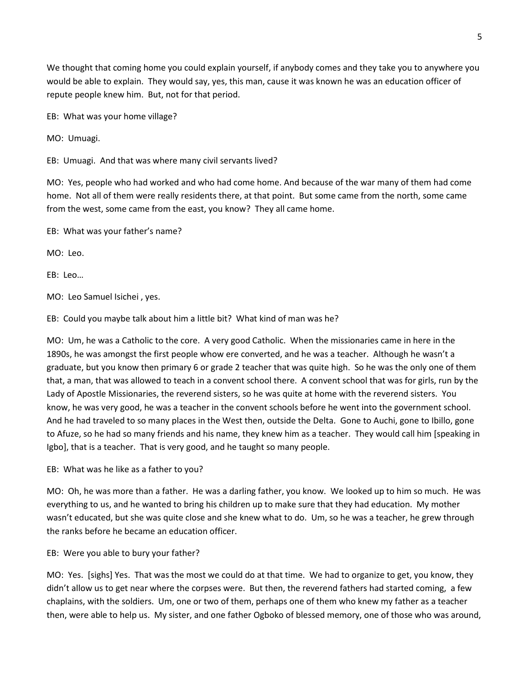We thought that coming home you could explain yourself, if anybody comes and they take you to anywhere you would be able to explain. They would say, yes, this man, cause it was known he was an education officer of repute people knew him. But, not for that period.

EB: What was your home village?

MO: Umuagi.

EB: Umuagi. And that was where many civil servants lived?

MO: Yes, people who had worked and who had come home. And because of the war many of them had come home. Not all of them were really residents there, at that point. But some came from the north, some came from the west, some came from the east, you know? They all came home.

EB: What was your father's name?

MO: Leo.

EB: Leo…

MO: Leo Samuel Isichei , yes.

EB: Could you maybe talk about him a little bit? What kind of man was he?

MO: Um, he was a Catholic to the core. A very good Catholic. When the missionaries came in here in the 1890s, he was amongst the first people whow ere converted, and he was a teacher. Although he wasn't a graduate, but you know then primary 6 or grade 2 teacher that was quite high. So he was the only one of them that, a man, that was allowed to teach in a convent school there. A convent school that was for girls, run by the Lady of Apostle Missionaries, the reverend sisters, so he was quite at home with the reverend sisters. You know, he was very good, he was a teacher in the convent schools before he went into the government school. And he had traveled to so many places in the West then, outside the Delta. Gone to Auchi, gone to Ibillo, gone to Afuze, so he had so many friends and his name, they knew him as a teacher. They would call him [speaking in Igbo], that is a teacher. That is very good, and he taught so many people.

EB: What was he like as a father to you?

MO: Oh, he was more than a father. He was a darling father, you know. We looked up to him so much. He was everything to us, and he wanted to bring his children up to make sure that they had education. My mother wasn't educated, but she was quite close and she knew what to do. Um, so he was a teacher, he grew through the ranks before he became an education officer.

EB: Were you able to bury your father?

MO: Yes. [sighs] Yes. That was the most we could do at that time. We had to organize to get, you know, they didn't allow us to get near where the corpses were. But then, the reverend fathers had started coming, a few chaplains, with the soldiers. Um, one or two of them, perhaps one of them who knew my father as a teacher then, were able to help us. My sister, and one father Ogboko of blessed memory, one of those who was around,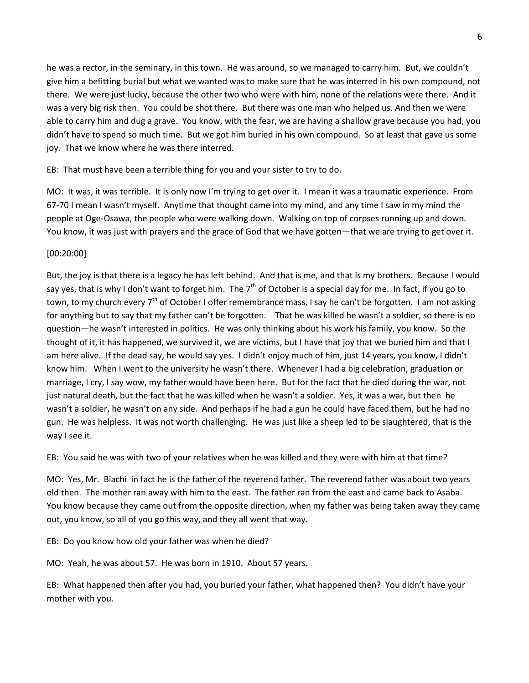he was a rector, in the seminary, in this town. He was around, so we managed to carry him. But, we couldn't give him a befitting burial but what we wanted was to make sure that he was interred in his own compound, not there. We were just lucky, because the other two who were with him, none of the relations were there. And it was a very big risk then. You could be shot there. But there was one man who helped us. And then we were able to carry him and dug a grave. You know, with the fear, we are having a shallow grave because you had, you didn't have to spend so much time. But we got him buried in his own compound. So at least that gave us some joy. That we know where he was there interred.

EB: That must have been a terrible thing for you and your sister to try to do.

MO: It was, it was terrible. It is only now I'm trying to get over it. I mean it was a traumatic experience. From 67-70 I mean I wasn't myself. Anytime that thought came into my mind, and any time I saw in my mind the people at Oge-Osawa, the people who were walking down. Walking on top of corpses running up and down. You know, it was just with prayers and the grace of God that we have gotten—that we are trying to get over it.

### [00:20:00]

But, the joy is that there is a legacy he has left behind. And that is me, and that is my brothers. Because I would say yes, that is why I don't want to forget him. The  $7<sup>th</sup>$  of October is a special day for me. In fact, if you go to town, to my church every 7<sup>th</sup> of October I offer remembrance mass, I say he can't be forgotten. I am not asking for anything but to say that my father can't be forgotten. That he was killed he wasn't a soldier, so there is no question—he wasn't interested in politics. He was only thinking about his work his family, you know. So the thought of it, it has happened, we survived it, we are victims, but I have that joy that we buried him and that I am here alive. If the dead say, he would say yes. I didn't enjoy much of him, just 14 years, you know, I didn't know him. When I went to the university he wasn't there. Whenever I had a big celebration, graduation or marriage, I cry, I say wow, my father would have been here. But for the fact that he died during the war, not just natural death, but the fact that he was killed when he wasn't a soldier. Yes, it was a war, but then he wasn't a soldier, he wasn't on any side. And perhaps if he had a gun he could have faced them, but he had no gun. He was helpless. It was not worth challenging. He was just like a sheep led to be slaughtered, that is the way I see it.

EB: You said he was with two of your relatives when he was killed and they were with him at that time?

MO: Yes, Mr. Biachi in fact he is the father of the reverend father. The reverend father was about two years old then. The mother ran away with him to the east. The father ran from the east and came back to Asaba. You know because they came out from the opposite direction, when my father was being taken away they came out, you know, so all of you go this way, and they all went that way.

EB: Do you know how old your father was when he died?

MO: Yeah, he was about 57. He was born in 1910. About 57 years.

EB: What happened then after you had, you buried your father, what happened then? You didn't have your mother with you.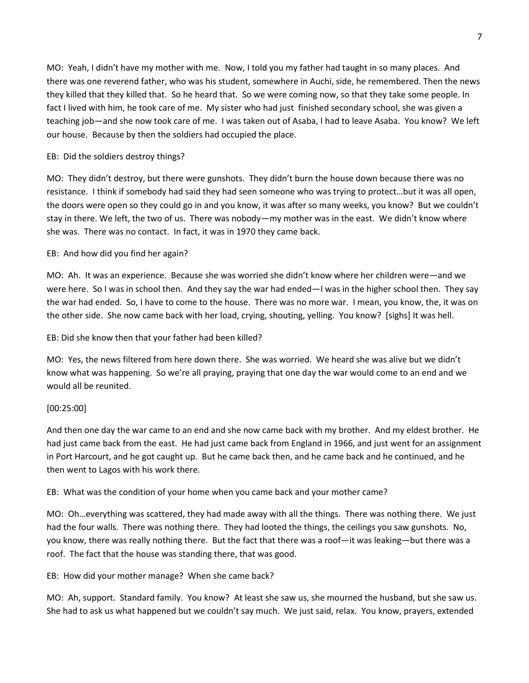MO: Yeah, I didn't have my mother with me. Now, I told you my father had taught in so many places. And there was one reverend father, who was his student, somewhere in Auchi, side, he remembered. Then the news they killed that they killed that. So he heard that. So we were coming now, so that they take some people. In fact I lived with him, he took care of me. My sister who had just finished secondary school, she was given a teaching job—and she now took care of me. I was taken out of Asaba, I had to leave Asaba. You know? We left our house. Because by then the soldiers had occupied the place.

## EB: Did the soldiers destroy things?

MO: They didn't destroy, but there were gunshots. They didn't burn the house down because there was no resistance. I think if somebody had said they had seen someone who was trying to protect…but it was all open, the doors were open so they could go in and you know, it was after so many weeks, you know? But we couldn't stay in there. We left, the two of us. There was nobody—my mother was in the east. We didn't know where she was. There was no contact. In fact, it was in 1970 they came back.

### EB: And how did you find her again?

MO: Ah. It was an experience. Because she was worried she didn't know where her children were—and we were here. So I was in school then. And they say the war had ended—I was in the higher school then. They say the war had ended. So, I have to come to the house. There was no more war. I mean, you know, the, it was on the other side. She now came back with her load, crying, shouting, yelling. You know? [sighs] It was hell.

EB: Did she know then that your father had been killed?

MO: Yes, the news filtered from here down there. She was worried. We heard she was alive but we didn't know what was happening. So we're all praying, praying that one day the war would come to an end and we would all be reunited.

#### [00:25:00]

And then one day the war came to an end and she now came back with my brother. And my eldest brother. He had just came back from the east. He had just came back from England in 1966, and just went for an assignment in Port Harcourt, and he got caught up. But he came back then, and he came back and he continued, and he then went to Lagos with his work there.

EB: What was the condition of your home when you came back and your mother came?

MO: Oh…everything was scattered, they had made away with all the things. There was nothing there. We just had the four walls. There was nothing there. They had looted the things, the ceilings you saw gunshots. No, you know, there was really nothing there. But the fact that there was a roof—it was leaking—but there was a roof. The fact that the house was standing there, that was good.

EB: How did your mother manage? When she came back?

MO: Ah, support. Standard family. You know? At least she saw us, she mourned the husband, but she saw us. She had to ask us what happened but we couldn't say much. We just said, relax. You know, prayers, extended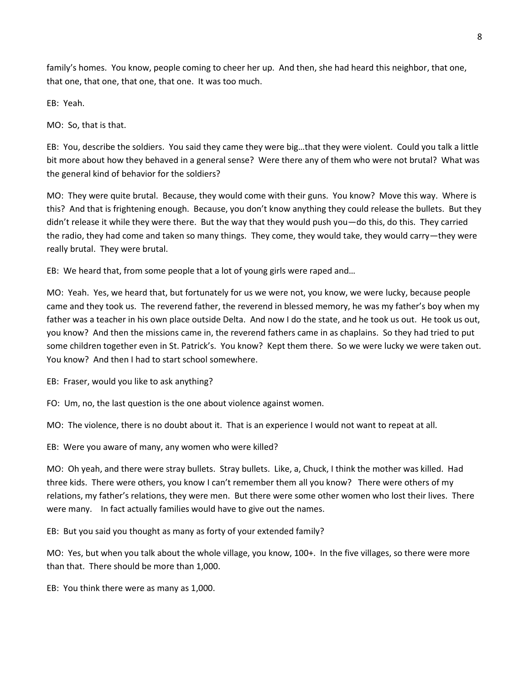family's homes. You know, people coming to cheer her up. And then, she had heard this neighbor, that one, that one, that one, that one, that one. It was too much.

EB: Yeah.

MO: So, that is that.

EB: You, describe the soldiers. You said they came they were big…that they were violent. Could you talk a little bit more about how they behaved in a general sense? Were there any of them who were not brutal? What was the general kind of behavior for the soldiers?

MO: They were quite brutal. Because, they would come with their guns. You know? Move this way. Where is this? And that is frightening enough. Because, you don't know anything they could release the bullets. But they didn't release it while they were there. But the way that they would push you—do this, do this. They carried the radio, they had come and taken so many things. They come, they would take, they would carry—they were really brutal. They were brutal.

EB: We heard that, from some people that a lot of young girls were raped and…

MO: Yeah. Yes, we heard that, but fortunately for us we were not, you know, we were lucky, because people came and they took us. The reverend father, the reverend in blessed memory, he was my father's boy when my father was a teacher in his own place outside Delta. And now I do the state, and he took us out. He took us out, you know? And then the missions came in, the reverend fathers came in as chaplains. So they had tried to put some children together even in St. Patrick's. You know? Kept them there. So we were lucky we were taken out. You know? And then I had to start school somewhere.

EB: Fraser, would you like to ask anything?

FO: Um, no, the last question is the one about violence against women.

MO: The violence, there is no doubt about it. That is an experience I would not want to repeat at all.

EB: Were you aware of many, any women who were killed?

MO: Oh yeah, and there were stray bullets. Stray bullets. Like, a, Chuck, I think the mother was killed. Had three kids. There were others, you know I can't remember them all you know? There were others of my relations, my father's relations, they were men. But there were some other women who lost their lives. There were many. In fact actually families would have to give out the names.

EB: But you said you thought as many as forty of your extended family?

MO: Yes, but when you talk about the whole village, you know, 100+. In the five villages, so there were more than that. There should be more than 1,000.

EB: You think there were as many as 1,000.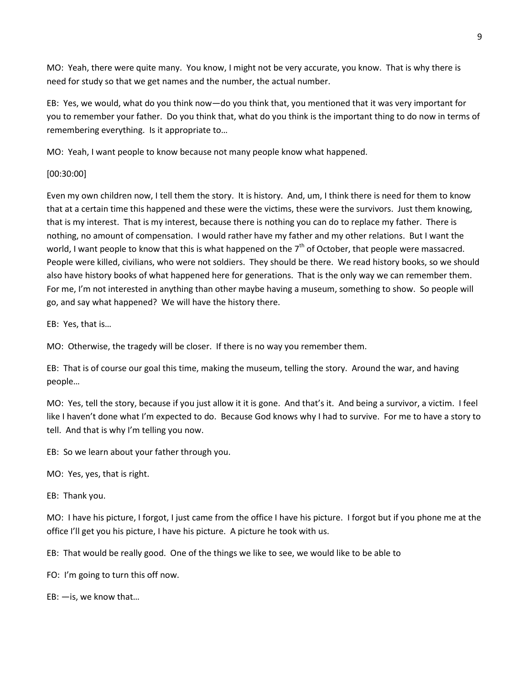MO: Yeah, there were quite many. You know, I might not be very accurate, you know. That is why there is need for study so that we get names and the number, the actual number.

EB: Yes, we would, what do you think now—do you think that, you mentioned that it was very important for you to remember your father. Do you think that, what do you think is the important thing to do now in terms of remembering everything. Is it appropriate to…

MO: Yeah, I want people to know because not many people know what happened.

### [00:30:00]

Even my own children now, I tell them the story. It is history. And, um, I think there is need for them to know that at a certain time this happened and these were the victims, these were the survivors. Just them knowing, that is my interest. That is my interest, because there is nothing you can do to replace my father. There is nothing, no amount of compensation. I would rather have my father and my other relations. But I want the world, I want people to know that this is what happened on the  $7<sup>th</sup>$  of October, that people were massacred. People were killed, civilians, who were not soldiers. They should be there. We read history books, so we should also have history books of what happened here for generations. That is the only way we can remember them. For me, I'm not interested in anything than other maybe having a museum, something to show. So people will go, and say what happened? We will have the history there.

EB: Yes, that is…

MO: Otherwise, the tragedy will be closer. If there is no way you remember them.

EB: That is of course our goal this time, making the museum, telling the story. Around the war, and having people…

MO: Yes, tell the story, because if you just allow it it is gone. And that's it. And being a survivor, a victim. I feel like I haven't done what I'm expected to do. Because God knows why I had to survive. For me to have a story to tell. And that is why I'm telling you now.

EB: So we learn about your father through you.

MO: Yes, yes, that is right.

EB: Thank you.

MO: I have his picture, I forgot, I just came from the office I have his picture. I forgot but if you phone me at the office I'll get you his picture, I have his picture. A picture he took with us.

EB: That would be really good. One of the things we like to see, we would like to be able to

FO: I'm going to turn this off now.

EB: —is, we know that…